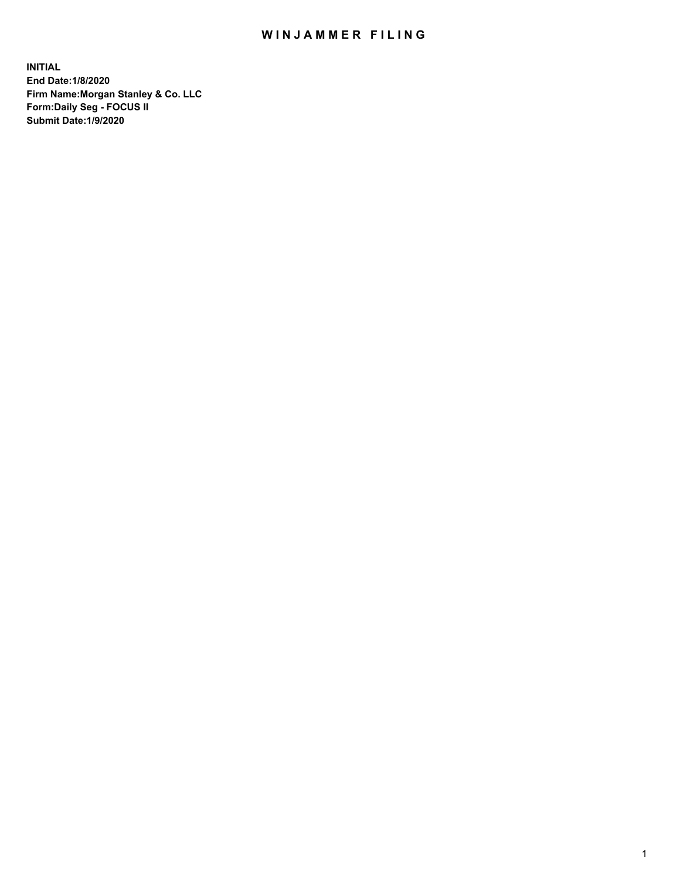## WIN JAMMER FILING

**INITIAL End Date:1/8/2020 Firm Name:Morgan Stanley & Co. LLC Form:Daily Seg - FOCUS II Submit Date:1/9/2020**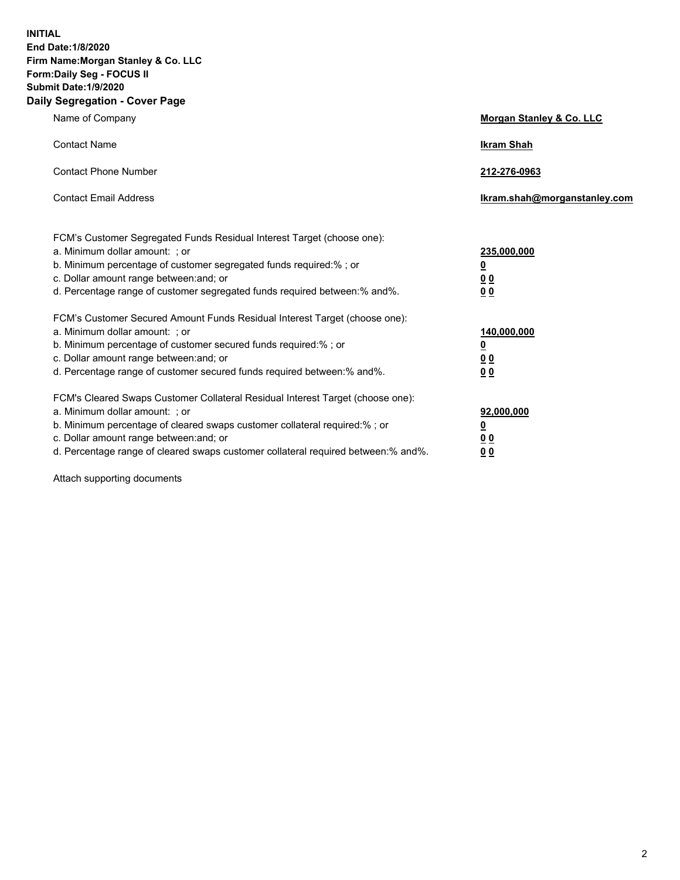**INITIAL End Date:1/8/2020 Firm Name:Morgan Stanley & Co. LLC Form:Daily Seg - FOCUS II Submit Date:1/9/2020 Daily Segregation - Cover Page**

| Name of Company                                                                   | Morgan Stanley & Co. LLC     |
|-----------------------------------------------------------------------------------|------------------------------|
| <b>Contact Name</b>                                                               | <b>Ikram Shah</b>            |
|                                                                                   |                              |
| <b>Contact Phone Number</b>                                                       | 212-276-0963                 |
| <b>Contact Email Address</b>                                                      | Ikram.shah@morganstanley.com |
|                                                                                   |                              |
|                                                                                   |                              |
| FCM's Customer Segregated Funds Residual Interest Target (choose one):            |                              |
| a. Minimum dollar amount: ; or                                                    | 235,000,000                  |
| b. Minimum percentage of customer segregated funds required:%; or                 | <u>0</u>                     |
| c. Dollar amount range between: and; or                                           | <u>00</u>                    |
| d. Percentage range of customer segregated funds required between:% and%.         | 0 Q                          |
| FCM's Customer Secured Amount Funds Residual Interest Target (choose one):        |                              |
| a. Minimum dollar amount: ; or                                                    | 140,000,000                  |
| b. Minimum percentage of customer secured funds required:%; or                    | <u>0</u>                     |
| c. Dollar amount range between: and; or                                           | <u>00</u>                    |
| d. Percentage range of customer secured funds required between:% and%.            | 0 <sup>0</sup>               |
|                                                                                   |                              |
| FCM's Cleared Swaps Customer Collateral Residual Interest Target (choose one):    |                              |
| a. Minimum dollar amount: ; or                                                    | 92,000,000                   |
| b. Minimum percentage of cleared swaps customer collateral required:% ; or        | <u>0</u>                     |
| c. Dollar amount range between: and; or                                           | 00                           |
| d. Percentage range of cleared swaps customer collateral required between:% and%. | 00                           |
|                                                                                   |                              |

Attach supporting documents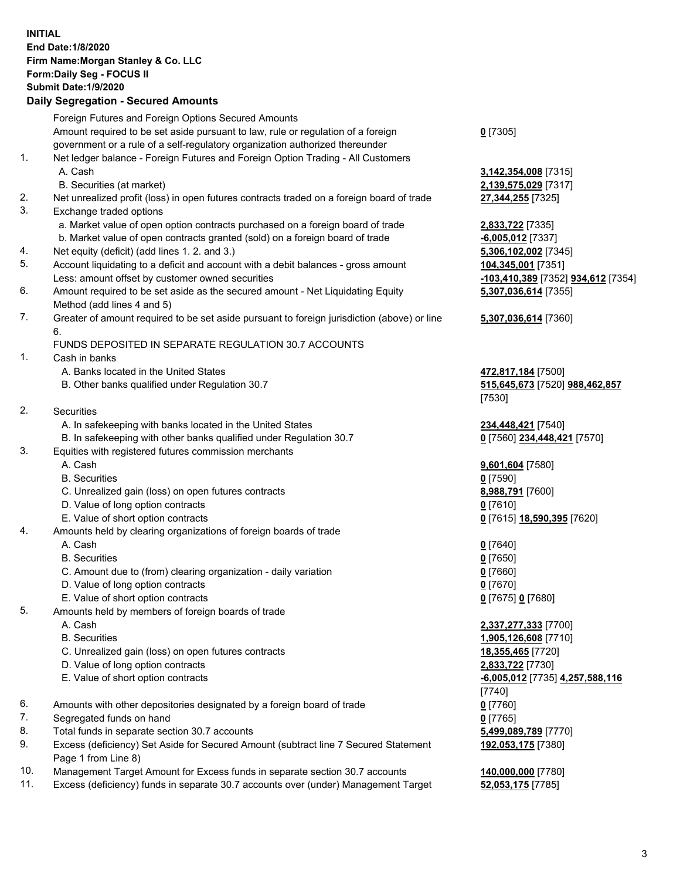## **INITIAL End Date:1/8/2020 Firm Name:Morgan Stanley & Co. LLC Form:Daily Seg - FOCUS II Submit Date:1/9/2020 Daily Segregation - Secured Amounts** Foreign Futures and Foreign Options Secured Amounts Amount required to be set aside pursuant to law, rule or regulation of a foreign government or a rule of a self-regulatory organization authorized thereunder **0** [7305] 1. Net ledger balance - Foreign Futures and Foreign Option Trading - All Customers A. Cash **3,142,354,008** [7315] B. Securities (at market) **2,139,575,029** [7317] 2. Net unrealized profit (loss) in open futures contracts traded on a foreign board of trade **27,344,255** [7325] 3. Exchange traded options a. Market value of open option contracts purchased on a foreign board of trade **2,833,722** [7335] b. Market value of open contracts granted (sold) on a foreign board of trade **-6,005,012** [7337] 4. Net equity (deficit) (add lines 1. 2. and 3.) **5,306,102,002** [7345] 5. Account liquidating to a deficit and account with a debit balances - gross amount **104,345,001** [7351] Less: amount offset by customer owned securities **-103,410,389** [7352] **934,612** [7354] 6. Amount required to be set aside as the secured amount - Net Liquidating Equity Method (add lines 4 and 5) **5,307,036,614** [7355] 7. Greater of amount required to be set aside pursuant to foreign jurisdiction (above) or line 6. **5,307,036,614** [7360] FUNDS DEPOSITED IN SEPARATE REGULATION 30.7 ACCOUNTS 1. Cash in banks A. Banks located in the United States **472,817,184** [7500] B. Other banks qualified under Regulation 30.7 **515,645,673** [7520] **988,462,857** [7530] 2. Securities A. In safekeeping with banks located in the United States **234,448,421** [7540] B. In safekeeping with other banks qualified under Regulation 30.7 **0** [7560] **234,448,421** [7570] 3. Equities with registered futures commission merchants A. Cash **9,601,604** [7580] B. Securities **0** [7590] C. Unrealized gain (loss) on open futures contracts **8,988,791** [7600] D. Value of long option contracts **0** [7610] E. Value of short option contracts **0** [7615] **18,590,395** [7620] 4. Amounts held by clearing organizations of foreign boards of trade A. Cash **0** [7640] B. Securities **0** [7650] C. Amount due to (from) clearing organization - daily variation **0** [7660] D. Value of long option contracts **0** [7670] E. Value of short option contracts **0** [7675] **0** [7680] 5. Amounts held by members of foreign boards of trade A. Cash **2,337,277,333** [7700] B. Securities **1,905,126,608** [7710] C. Unrealized gain (loss) on open futures contracts **18,355,465** [7720] D. Value of long option contracts **2,833,722** [7730] E. Value of short option contracts **-6,005,012** [7735] **4,257,588,116** [7740] 6. Amounts with other depositories designated by a foreign board of trade **0** [7760] 7. Segregated funds on hand **0** [7765] 8. Total funds in separate section 30.7 accounts **5,499,089,789** [7770] 9. Excess (deficiency) Set Aside for Secured Amount (subtract line 7 Secured Statement Page 1 from Line 8) **192,053,175** [7380] 10. Management Target Amount for Excess funds in separate section 30.7 accounts **140,000,000** [7780]

11. Excess (deficiency) funds in separate 30.7 accounts over (under) Management Target **52,053,175** [7785]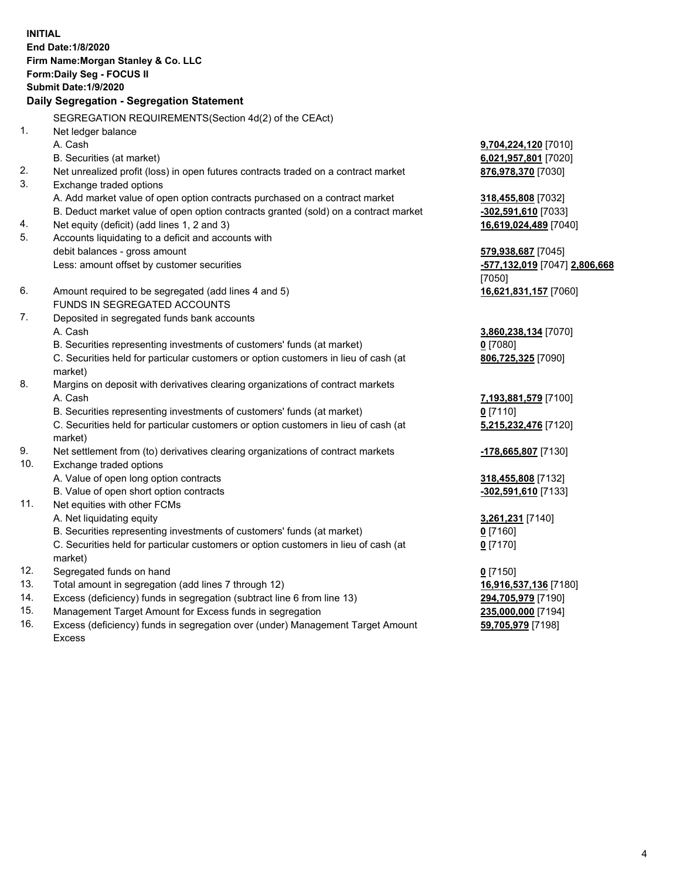| <b>INITIAL</b> | End Date: 1/8/2020<br>Firm Name: Morgan Stanley & Co. LLC<br>Form: Daily Seg - FOCUS II<br><b>Submit Date: 1/9/2020</b><br>Daily Segregation - Segregation Statement |                               |
|----------------|----------------------------------------------------------------------------------------------------------------------------------------------------------------------|-------------------------------|
|                | SEGREGATION REQUIREMENTS(Section 4d(2) of the CEAct)                                                                                                                 |                               |
| 1.             | Net ledger balance                                                                                                                                                   |                               |
|                | A. Cash                                                                                                                                                              | <b>9,704,224,120</b> [7010]   |
| 2.             | B. Securities (at market)<br>Net unrealized profit (loss) in open futures contracts traded on a contract market                                                      | 6,021,957,801 [7020]          |
| 3.             | Exchange traded options                                                                                                                                              | 876,978,370 [7030]            |
|                | A. Add market value of open option contracts purchased on a contract market                                                                                          | 318,455,808 [7032]            |
|                | B. Deduct market value of open option contracts granted (sold) on a contract market                                                                                  | -302,591,610 [7033]           |
| 4.             | Net equity (deficit) (add lines 1, 2 and 3)                                                                                                                          | 16,619,024,489 [7040]         |
| 5.             | Accounts liquidating to a deficit and accounts with                                                                                                                  |                               |
|                | debit balances - gross amount                                                                                                                                        | 579,938,687 [7045]            |
|                | Less: amount offset by customer securities                                                                                                                           | -577,132,019 [7047] 2,806,668 |
|                |                                                                                                                                                                      | [7050]                        |
| 6.             | Amount required to be segregated (add lines 4 and 5)                                                                                                                 | 16,621,831,157 [7060]         |
|                | FUNDS IN SEGREGATED ACCOUNTS                                                                                                                                         |                               |
| 7.             | Deposited in segregated funds bank accounts                                                                                                                          |                               |
|                | A. Cash                                                                                                                                                              | 3,860,238,134 [7070]          |
|                | B. Securities representing investments of customers' funds (at market)                                                                                               | 0 [7080]                      |
|                | C. Securities held for particular customers or option customers in lieu of cash (at<br>market)                                                                       | 806,725,325 [7090]            |
| 8.             | Margins on deposit with derivatives clearing organizations of contract markets                                                                                       |                               |
|                | A. Cash                                                                                                                                                              | 7,193,881,579 [7100]          |
|                | B. Securities representing investments of customers' funds (at market)                                                                                               | $0$ [7110]                    |
|                | C. Securities held for particular customers or option customers in lieu of cash (at<br>market)                                                                       | 5,215,232,476 [7120]          |
| 9.             | Net settlement from (to) derivatives clearing organizations of contract markets                                                                                      | -178,665,807 [7130]           |
| 10.            | Exchange traded options                                                                                                                                              |                               |
|                | A. Value of open long option contracts                                                                                                                               | 318,455,808 [7132]            |
|                | B. Value of open short option contracts                                                                                                                              | -302,591,610 [7133]           |
| 11.            | Net equities with other FCMs                                                                                                                                         |                               |
|                | A. Net liquidating equity                                                                                                                                            | 3,261,231 [7140]              |
|                | B. Securities representing investments of customers' funds (at market)                                                                                               | <u>0</u> [7160]               |
|                | C. Securities held for particular customers or option customers in lieu of cash (at<br>market)                                                                       | $0$ [7170]                    |
| 12.            | Segregated funds on hand                                                                                                                                             | $0$ [7150]                    |
| 13.            | Total amount in segregation (add lines 7 through 12)                                                                                                                 | 16,916,537,136 [7180]         |
| 14.            | Excess (deficiency) funds in segregation (subtract line 6 from line 13)                                                                                              | 294,705,979 [7190]            |
| 15.            | Management Target Amount for Excess funds in segregation                                                                                                             | 235,000,000 [7194]            |
| 16.            | Excess (deficiency) funds in segregation over (under) Management Target Amount                                                                                       | 59,705,979 [7198]             |

- 15. Management Target Amount for Excess funds in segregation<br>16. Excess (deficiency) funds in segregation over (under) Manage
- Excess (deficiency) funds in segregation over (under) Management Target Amount Excess